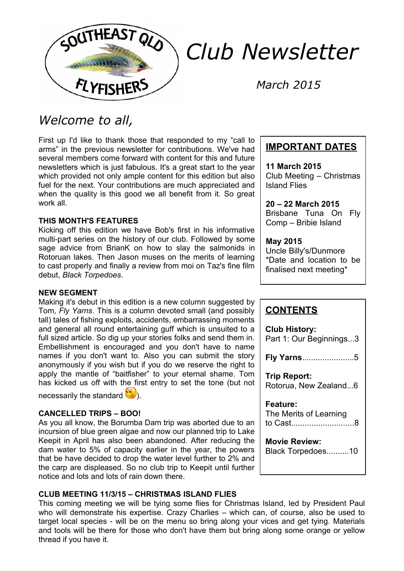

# *Club Newsletter*

*March 2015*

## *Welcome to all,*

First up I'd like to thank those that responded to my "call to arms" in the previous newsletter for contributions. We've had several members come forward with content for this and future newsletters which is just fabulous. It's a great start to the year which provided not only ample content for this edition but also fuel for the next. Your contributions are much appreciated and when the quality is this good we all benefit from it. So great work all.

#### **THIS MONTH'S FEATURES**

Kicking off this edition we have Bob's first in his informative multi-part series on the history of our club. Followed by some sage advice from BrianK on how to slay the salmonids in Rotoruan lakes. Then Jason muses on the merits of learning to cast properly and finally a review from moi on Taz's fine film debut, *Black Torpedoes*.

#### **NEW SEGMENT**

Making it's debut in this edition is a new column suggested by Tom, *Fly Yarns*. This is a column devoted small (and possibly tall) tales of fishing exploits, accidents, embarrassing moments and general all round entertaining guff which is unsuited to a full sized article. So dig up your stories folks and send them in. Embellishment is encouraged and you don't have to name names if you don't want to. Also you can submit the story anonymously if you wish but if you do we reserve the right to apply the mantle of "baitfisher" to your eternal shame. Tom has kicked us off with the first entry to set the tone (but not

necessarily the standard  $\mathbb{C}$ .

#### **CANCELLED TRIPS – BOO!**

As you all know, the Borumba Dam trip was aborted due to an incursion of blue green algae and now our planned trip to Lake Keepit in April has also been abandoned. After reducing the dam water to 5% of capacity earlier in the year, the powers that be have decided to drop the water level further to 2% and the carp are displeased. So no club trip to Keepit until further notice and lots and lots of rain down there.

### **CLUB MEETING 11/3/15 – CHRISTMAS ISLAND FLIES**

This coming meeting we will be tying some flies for Christmas Island, led by President Paul who will demonstrate his expertise. Crazy Charlies – which can, of course, also be used to target local species - will be on the menu so bring along your vices and get tying. Materials and tools will be there for those who don't have them but bring along some orange or yellow thread if you have it.

## **IMPORTANT DATES**

**11 March 2015** Club Meeting – Christmas Island Flies

**20 – 22 March 2015** Brisbane Tuna On Fly Comp – Bribie Island

## **May 2015**

Uncle Billy's/Dunmore \*Date and location to be finalised next meeting\*

## **CONTENTS**

**Club History:** Part 1: Our Beginnings...3 **Fly Yarns**.......................5 **Trip Report:** Rotorua, New Zealand...6 **Feature:** The Merits of Learning to Cast............................8 **Movie Review:** Black Torpedoes..........10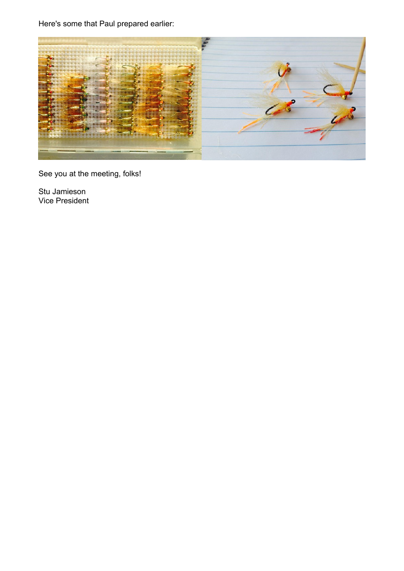Here's some that Paul prepared earlier:



See you at the meeting, folks!

Stu Jamieson Vice President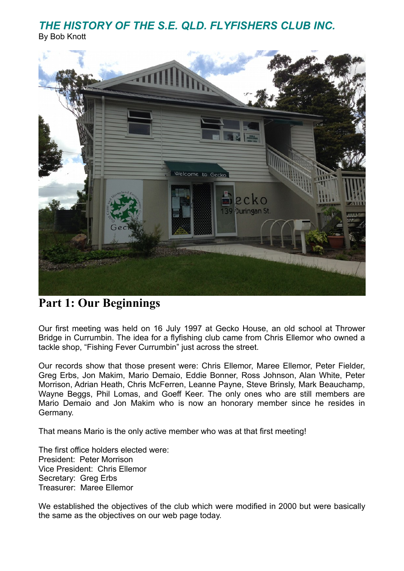## *THE HISTORY OF THE S.E. QLD. FLYFISHERS CLUB INC.*

By Bob Knott



## **Part 1: Our Beginnings**

Our first meeting was held on 16 July 1997 at Gecko House, an old school at Thrower Bridge in Currumbin. The idea for a flyfishing club came from Chris Ellemor who owned a tackle shop, "Fishing Fever Currumbin" just across the street.

Our records show that those present were: Chris Ellemor, Maree Ellemor, Peter Fielder, Greg Erbs, Jon Makim, Mario Demaio, Eddie Bonner, Ross Johnson, Alan White, Peter Morrison, Adrian Heath, Chris McFerren, Leanne Payne, Steve Brinsly, Mark Beauchamp, Wayne Beggs, Phil Lomas, and Goeff Keer. The only ones who are still members are Mario Demaio and Jon Makim who is now an honorary member since he resides in Germany.

That means Mario is the only active member who was at that first meeting!

The first office holders elected were: President: Peter Morrison Vice President: Chris Ellemor Secretary: Greg Erbs Treasurer: Maree Ellemor

We established the objectives of the club which were modified in 2000 but were basically the same as the objectives on our web page today.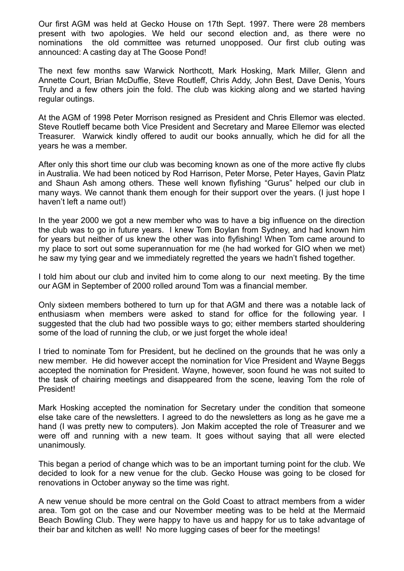Our first AGM was held at Gecko House on 17th Sept. 1997. There were 28 members present with two apologies. We held our second election and, as there were no nominations the old committee was returned unopposed. Our first club outing was announced: A casting day at The Goose Pond!

The next few months saw Warwick Northcott, Mark Hosking, Mark Miller, Glenn and Annette Court, Brian McDuffie, Steve Routleff, Chris Addy, John Best, Dave Denis, Yours Truly and a few others join the fold. The club was kicking along and we started having regular outings.

At the AGM of 1998 Peter Morrison resigned as President and Chris Ellemor was elected. Steve Routleff became both Vice President and Secretary and Maree Ellemor was elected Treasurer. Warwick kindly offered to audit our books annually, which he did for all the years he was a member.

After only this short time our club was becoming known as one of the more active fly clubs in Australia. We had been noticed by Rod Harrison, Peter Morse, Peter Hayes, Gavin Platz and Shaun Ash among others. These well known flyfishing "Gurus" helped our club in many ways. We cannot thank them enough for their support over the years. (I just hope I haven't left a name out!)

In the year 2000 we got a new member who was to have a big influence on the direction the club was to go in future years. I knew Tom Boylan from Sydney, and had known him for years but neither of us knew the other was into flyfishing! When Tom came around to my place to sort out some superannuation for me (he had worked for GIO when we met) he saw my tying gear and we immediately regretted the years we hadn't fished together.

I told him about our club and invited him to come along to our next meeting. By the time our AGM in September of 2000 rolled around Tom was a financial member.

Only sixteen members bothered to turn up for that AGM and there was a notable lack of enthusiasm when members were asked to stand for office for the following year. I suggested that the club had two possible ways to go; either members started shouldering some of the load of running the club, or we just forget the whole idea!

I tried to nominate Tom for President, but he declined on the grounds that he was only a new member. He did however accept the nomination for Vice President and Wayne Beggs accepted the nomination for President. Wayne, however, soon found he was not suited to the task of chairing meetings and disappeared from the scene, leaving Tom the role of President!

Mark Hosking accepted the nomination for Secretary under the condition that someone else take care of the newsletters. I agreed to do the newsletters as long as he gave me a hand (I was pretty new to computers). Jon Makim accepted the role of Treasurer and we were off and running with a new team. It goes without saying that all were elected unanimously.

This began a period of change which was to be an important turning point for the club. We decided to look for a new venue for the club. Gecko House was going to be closed for renovations in October anyway so the time was right.

A new venue should be more central on the Gold Coast to attract members from a wider area. Tom got on the case and our November meeting was to be held at the Mermaid Beach Bowling Club. They were happy to have us and happy for us to take advantage of their bar and kitchen as well! No more lugging cases of beer for the meetings!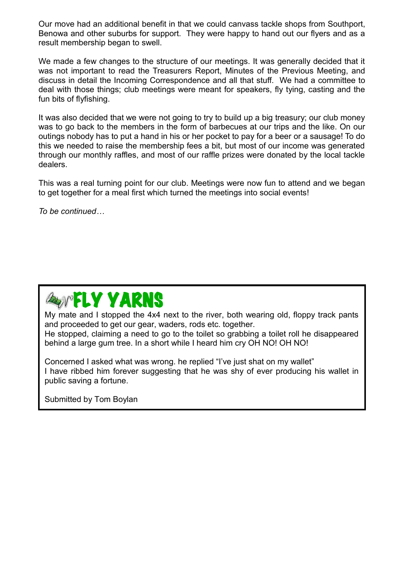Our move had an additional benefit in that we could canvass tackle shops from Southport, Benowa and other suburbs for support. They were happy to hand out our flyers and as a result membership began to swell.

We made a few changes to the structure of our meetings. It was generally decided that it was not important to read the Treasurers Report, Minutes of the Previous Meeting, and discuss in detail the Incoming Correspondence and all that stuff. We had a committee to deal with those things; club meetings were meant for speakers, fly tying, casting and the fun bits of flyfishing.

It was also decided that we were not going to try to build up a big treasury; our club money was to go back to the members in the form of barbecues at our trips and the like. On our outings nobody has to put a hand in his or her pocket to pay for a beer or a sausage! To do this we needed to raise the membership fees a bit, but most of our income was generated through our monthly raffles, and most of our raffle prizes were donated by the local tackle dealers.

This was a real turning point for our club. Meetings were now fun to attend and we began to get together for a meal first which turned the meetings into social events!

*To be continued…*

## *<b>EXPELY YARNS*

My mate and I stopped the 4x4 next to the river, both wearing old, floppy track pants and proceeded to get our gear, waders, rods etc. together. He stopped, claiming a need to go to the toilet so grabbing a toilet roll he disappeared behind a large gum tree. In a short while I heard him cry OH NO! OH NO!

Concerned I asked what was wrong. he replied "I've just shat on my wallet" I have ribbed him forever suggesting that he was shy of ever producing his wallet in public saving a fortune.

Submitted by Tom Boylan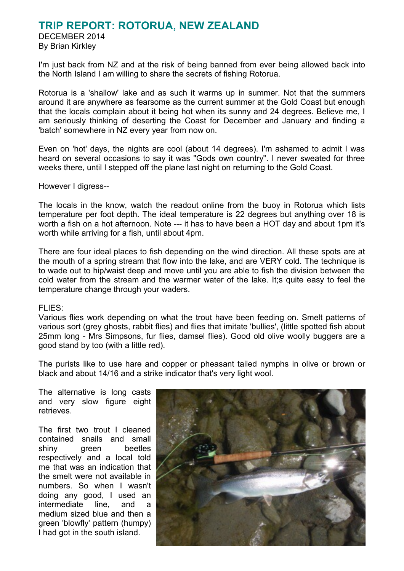## **TRIP REPORT: ROTORUA, NEW ZEALAND**

DECEMBER 2014 By Brian Kirkley

I'm just back from NZ and at the risk of being banned from ever being allowed back into the North Island I am willing to share the secrets of fishing Rotorua.

Rotorua is a 'shallow' lake and as such it warms up in summer. Not that the summers around it are anywhere as fearsome as the current summer at the Gold Coast but enough that the locals complain about it being hot when its sunny and 24 degrees. Believe me, I am seriously thinking of deserting the Coast for December and January and finding a 'batch' somewhere in NZ every year from now on.

Even on 'hot' days, the nights are cool (about 14 degrees). I'm ashamed to admit I was heard on several occasions to say it was "Gods own country". I never sweated for three weeks there, until I stepped off the plane last night on returning to the Gold Coast.

However I digress--

The locals in the know, watch the readout online from the buoy in Rotorua which lists temperature per foot depth. The ideal temperature is 22 degrees but anything over 18 is worth a fish on a hot afternoon. Note --- it has to have been a HOT day and about 1pm it's worth while arriving for a fish, until about 4pm.

There are four ideal places to fish depending on the wind direction. All these spots are at the mouth of a spring stream that flow into the lake, and are VERY cold. The technique is to wade out to hip/waist deep and move until you are able to fish the division between the cold water from the stream and the warmer water of the lake. It;s quite easy to feel the temperature change through your waders.

#### FLIES:

Various flies work depending on what the trout have been feeding on. Smelt patterns of various sort (grey ghosts, rabbit flies) and flies that imitate 'bullies', (little spotted fish about 25mm long - Mrs Simpsons, fur flies, damsel flies). Good old olive woolly buggers are a good stand by too (with a little red).

The purists like to use hare and copper or pheasant tailed nymphs in olive or brown or black and about 14/16 and a strike indicator that's very light wool.

The alternative is long casts and very slow figure eight retrieves.

The first two trout I cleaned contained snails and small shiny green beetles respectively and a local told me that was an indication that the smelt were not available in numbers. So when I wasn't doing any good, I used an intermediate line, and a medium sized blue and then a green 'blowfly' pattern (humpy) I had got in the south island.

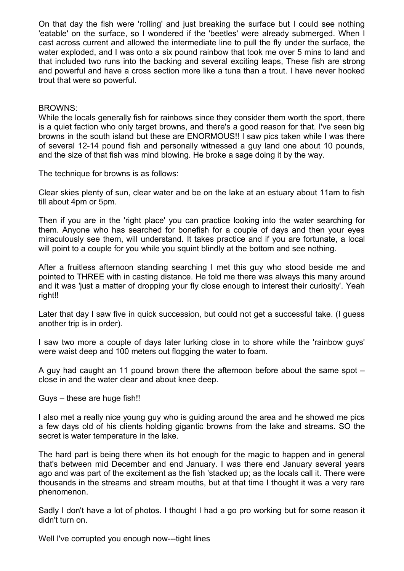On that day the fish were 'rolling' and just breaking the surface but I could see nothing 'eatable' on the surface, so I wondered if the 'beetles' were already submerged. When I cast across current and allowed the intermediate line to pull the fly under the surface, the water exploded, and I was onto a six pound rainbow that took me over 5 mins to land and that included two runs into the backing and several exciting leaps, These fish are strong and powerful and have a cross section more like a tuna than a trout. I have never hooked trout that were so powerful.

#### BROWNS:

While the locals generally fish for rainbows since they consider them worth the sport, there is a quiet faction who only target browns, and there's a good reason for that. I've seen big browns in the south island but these are ENORMOUS!! I saw pics taken while I was there of several 12-14 pound fish and personally witnessed a guy land one about 10 pounds, and the size of that fish was mind blowing. He broke a sage doing it by the way.

The technique for browns is as follows:

Clear skies plenty of sun, clear water and be on the lake at an estuary about 11am to fish till about 4pm or 5pm.

Then if you are in the 'right place' you can practice looking into the water searching for them. Anyone who has searched for bonefish for a couple of days and then your eyes miraculously see them, will understand. It takes practice and if you are fortunate, a local will point to a couple for you while you squint blindly at the bottom and see nothing.

After a fruitless afternoon standing searching I met this guy who stood beside me and pointed to THREE with in casting distance. He told me there was always this many around and it was 'just a matter of dropping your fly close enough to interest their curiosity'. Yeah right!!

Later that day I saw five in quick succession, but could not get a successful take. (I guess another trip is in order).

I saw two more a couple of days later lurking close in to shore while the 'rainbow guys' were waist deep and 100 meters out flogging the water to foam.

A guy had caught an 11 pound brown there the afternoon before about the same spot – close in and the water clear and about knee deep.

#### Guys – these are huge fish!!

I also met a really nice young guy who is guiding around the area and he showed me pics a few days old of his clients holding gigantic browns from the lake and streams. SO the secret is water temperature in the lake.

The hard part is being there when its hot enough for the magic to happen and in general that's between mid December and end January. I was there end January several years ago and was part of the excitement as the fish 'stacked up; as the locals call it. There were thousands in the streams and stream mouths, but at that time I thought it was a very rare phenomenon.

Sadly I don't have a lot of photos. I thought I had a go pro working but for some reason it didn't turn on.

Well I've corrupted you enough now---tight lines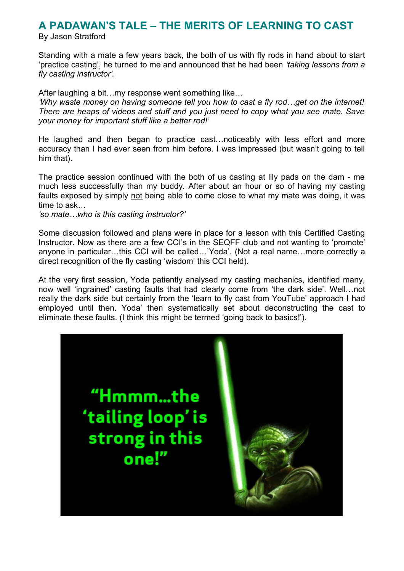## **A PADAWAN'S TALE – THE MERITS OF LEARNING TO CAST**

By Jason Stratford

Standing with a mate a few years back, the both of us with fly rods in hand about to start 'practice casting', he turned to me and announced that he had been *'taking lessons from a fly casting instructor'.*

After laughing a bit…my response went something like…

*'Why waste money on having someone tell you how to cast a fly rod…get on the internet! There are heaps of videos and stuff and you just need to copy what you see mate. Save your money for important stuff like a better rod!'*

He laughed and then began to practice cast…noticeably with less effort and more accuracy than I had ever seen from him before. I was impressed (but wasn't going to tell him that).

The practice session continued with the both of us casting at lily pads on the dam - me much less successfully than my buddy. After about an hour or so of having my casting faults exposed by simply not being able to come close to what my mate was doing, it was time to ask…

*'so mate…who is this casting instructor?'*

Some discussion followed and plans were in place for a lesson with this Certified Casting Instructor. Now as there are a few CCI's in the SEQFF club and not wanting to 'promote' anyone in particular…this CCI will be called…'Yoda'. (Not a real name…more correctly a direct recognition of the fly casting 'wisdom' this CCI held).

At the very first session, Yoda patiently analysed my casting mechanics, identified many, now well 'ingrained' casting faults that had clearly come from 'the dark side'. Well…not really the dark side but certainly from the 'learn to fly cast from YouTube' approach I had employed until then. Yoda' then systematically set about deconstructing the cast to eliminate these faults. (I think this might be termed 'going back to basics!').

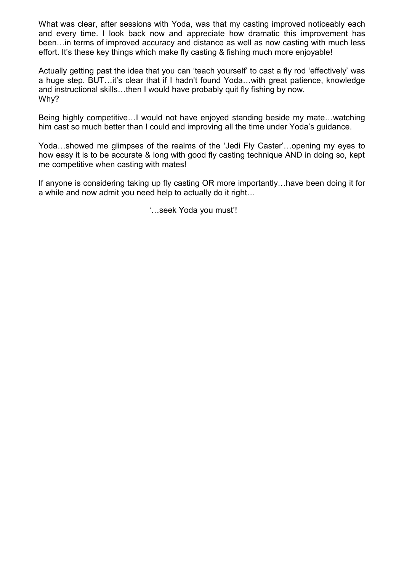What was clear, after sessions with Yoda, was that my casting improved noticeably each and every time. I look back now and appreciate how dramatic this improvement has been…in terms of improved accuracy and distance as well as now casting with much less effort. It's these key things which make fly casting & fishing much more enjoyable!

Actually getting past the idea that you can 'teach yourself' to cast a fly rod 'effectively' was a huge step. BUT…it's clear that if I hadn't found Yoda…with great patience, knowledge and instructional skills…then I would have probably quit fly fishing by now. Why?

Being highly competitive…I would not have enjoyed standing beside my mate…watching him cast so much better than I could and improving all the time under Yoda's guidance.

Yoda…showed me glimpses of the realms of the 'Jedi Fly Caster'…opening my eyes to how easy it is to be accurate & long with good fly casting technique AND in doing so, kept me competitive when casting with mates!

If anyone is considering taking up fly casting OR more importantly…have been doing it for a while and now admit you need help to actually do it right…

'…seek Yoda you must'!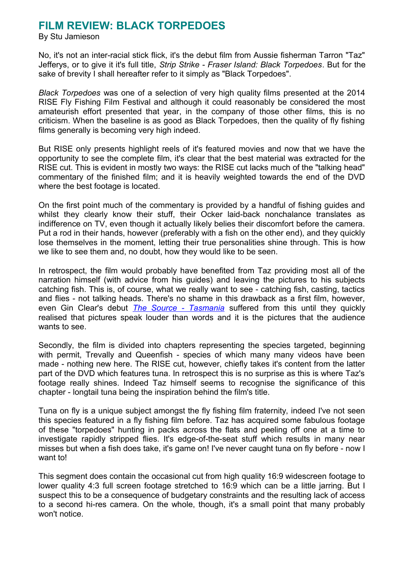## **FILM REVIEW: BLACK TORPEDOES**

By Stu Jamieson

No, it's not an inter-racial stick flick, it's the debut film from Aussie fisherman Tarron "Taz" Jefferys, or to give it it's full title, *Strip Strike - Fraser Island: Black Torpedoes*. But for the sake of brevity I shall hereafter refer to it simply as "Black Torpedoes".

*Black Torpedoes* was one of a selection of very high quality films presented at the 2014 RISE Fly Fishing Film Festival and although it could reasonably be considered the most amateurish effort presented that year, in the company of those other films, this is no criticism. When the baseline is as good as Black Torpedoes, then the quality of fly fishing films generally is becoming very high indeed.

But RISE only presents highlight reels of it's featured movies and now that we have the opportunity to see the complete film, it's clear that the best material was extracted for the RISE cut. This is evident in mostly two ways: the RISE cut lacks much of the "talking head" commentary of the finished film; and it is heavily weighted towards the end of the DVD where the best footage is located.

On the first point much of the commentary is provided by a handful of fishing guides and whilst they clearly know their stuff, their Ocker laid-back nonchalance translates as indifference on TV, even though it actually likely belies their discomfort before the camera. Put a rod in their hands, however (preferably with a fish on the other end), and they quickly lose themselves in the moment, letting their true personalities shine through. This is how we like to see them and, no doubt, how they would like to be seen.

In retrospect, the film would probably have benefited from Taz providing most all of the narration himself (with advice from his guides) and leaving the pictures to his subjects catching fish. This is, of course, what we really want to see - catching fish, casting, tactics and flies - not talking heads. There's no shame in this drawback as a first film, however, even Gin Clear's debut *[The Source - Tasmania](http://www.sexyloops.co.uk/theboard/viewtopic.php?p=12553#p12553)* suffered from this until they quickly realised that pictures speak louder than words and it is the pictures that the audience wants to see.

Secondly, the film is divided into chapters representing the species targeted, beginning with permit. Trevally and Queenfish - species of which many many videos have been made - nothing new here. The RISE cut, however, chiefly takes it's content from the latter part of the DVD which features tuna. In retrospect this is no surprise as this is where Taz's footage really shines. Indeed Taz himself seems to recognise the significance of this chapter - longtail tuna being the inspiration behind the film's title.

Tuna on fly is a unique subject amongst the fly fishing film fraternity, indeed I've not seen this species featured in a fly fishing film before. Taz has acquired some fabulous footage of these "torpedoes" hunting in packs across the flats and peeling off one at a time to investigate rapidly stripped flies. It's edge-of-the-seat stuff which results in many near misses but when a fish does take, it's game on! I've never caught tuna on fly before - now I want to!

This segment does contain the occasional cut from high quality 16:9 widescreen footage to lower quality 4:3 full screen footage stretched to 16:9 which can be a little jarring. But I suspect this to be a consequence of budgetary constraints and the resulting lack of access to a second hi-res camera. On the whole, though, it's a small point that many probably won't notice.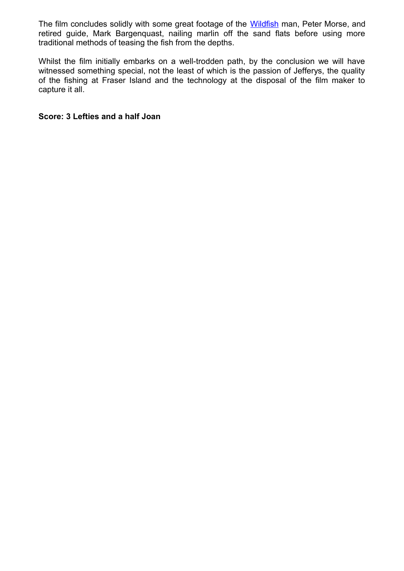The film concludes solidly with some great footage of the [Wildfish](http://wildfish.com.au/) man, Peter Morse, and retired guide, Mark Bargenquast, nailing marlin off the sand flats before using more traditional methods of teasing the fish from the depths.

Whilst the film initially embarks on a well-trodden path, by the conclusion we will have witnessed something special, not the least of which is the passion of Jefferys, the quality of the fishing at Fraser Island and the technology at the disposal of the film maker to capture it all.

#### **Score: 3 Lefties and a half Joan**